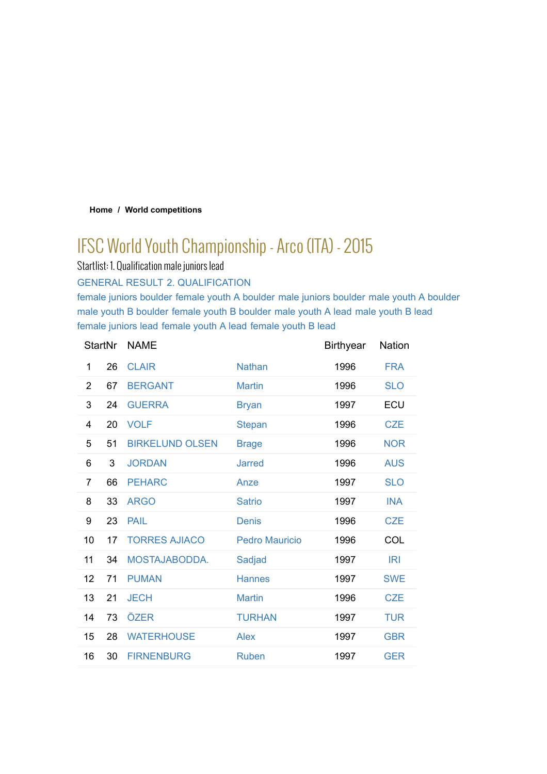### **Home / World competitions**

# IFSC World Youth Championship - Arco (ITA) - 2015

Startlist: 1. Qualification male juniors lead

GENERAL RESULT 2. QUALIFICATION

female juniors boulder female youth A boulder male juniors boulder male youth A boulder male youth B boulder female youth B boulder male youth A lead male youth B lead female juniors lead female youth A lead female youth B lead

| <b>StartNr</b> |    | <b>NAME</b>            |                       | <b>Birthyear</b> | <b>Nation</b> |
|----------------|----|------------------------|-----------------------|------------------|---------------|
| 1              | 26 | <b>CLAIR</b>           | <b>Nathan</b>         | 1996             | <b>FRA</b>    |
| $\overline{2}$ | 67 | <b>BERGANT</b>         | <b>Martin</b>         | 1996             | <b>SLO</b>    |
| 3              | 24 | <b>GUERRA</b>          | <b>Bryan</b>          | 1997             | ECU           |
| 4              | 20 | <b>VOLF</b>            | <b>Stepan</b>         | 1996             | <b>CZE</b>    |
| 5              | 51 | <b>BIRKELUND OLSEN</b> | <b>Brage</b>          | 1996             | <b>NOR</b>    |
| 6              | 3  | <b>JORDAN</b>          | <b>Jarred</b>         | 1996             | <b>AUS</b>    |
| 7              | 66 | <b>PEHARC</b>          | Anze                  | 1997             | <b>SLO</b>    |
| 8              | 33 | <b>ARGO</b>            | <b>Satrio</b>         | 1997             | <b>INA</b>    |
| 9              | 23 | <b>PAIL</b>            | Denis                 | 1996             | <b>CZE</b>    |
| 10             | 17 | <b>TORRES AJIACO</b>   | <b>Pedro Mauricio</b> | 1996             | COL           |
| 11             | 34 | MOSTAJABODDA.          | Sadjad                | 1997             | IRI           |
| 12             | 71 | <b>PUMAN</b>           | <b>Hannes</b>         | 1997             | <b>SWE</b>    |
| 13             | 21 | <b>JECH</b>            | <b>Martin</b>         | 1996             | <b>CZE</b>    |
| 14             | 73 | ÖZER                   | <b>TURHAN</b>         | 1997             | <b>TUR</b>    |
| 15             | 28 | <b>WATERHOUSE</b>      | <b>Alex</b>           | 1997             | <b>GBR</b>    |
| 16             | 30 | <b>FIRNENBURG</b>      | <b>Ruben</b>          | 1997             | <b>GER</b>    |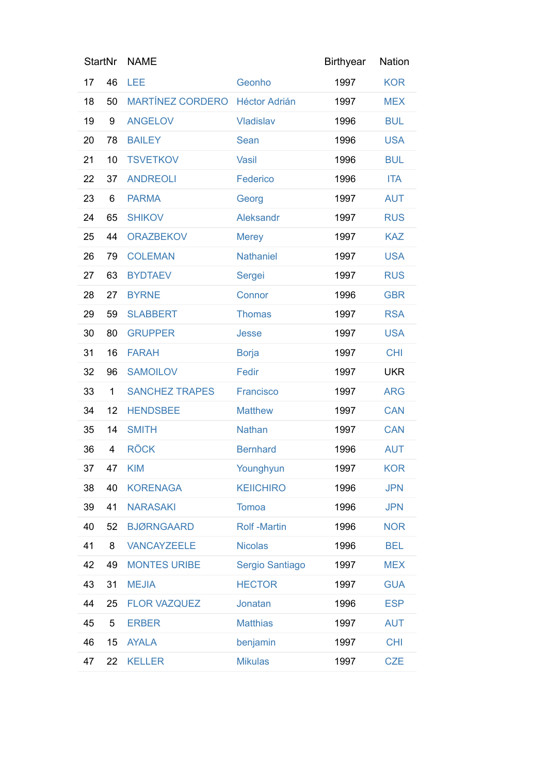| <b>StartNr</b> |             | <b>NAME</b>                    |                    | <b>Birthyear</b> | Nation     |
|----------------|-------------|--------------------------------|--------------------|------------------|------------|
| 17             | 46          | LEE                            | Geonho             | 1997             | <b>KOR</b> |
| 18             | 50          | MARTÍNEZ CORDERO Héctor Adrián |                    | 1997             | <b>MEX</b> |
| 19             | 9           | <b>ANGELOV</b>                 | Vladislav          | 1996             | <b>BUL</b> |
| 20             | 78          | <b>BAILEY</b>                  | Sean               | 1996             | <b>USA</b> |
| 21             | 10          | <b>TSVETKOV</b>                | <b>Vasil</b>       | 1996             | <b>BUL</b> |
| 22             | 37          | <b>ANDREOLI</b>                | Federico           | 1996             | <b>ITA</b> |
| 23             | 6           | <b>PARMA</b>                   | Georg              | 1997             | <b>AUT</b> |
| 24             | 65          | <b>SHIKOV</b>                  | Aleksandr          | 1997             | <b>RUS</b> |
| 25             | 44          | <b>ORAZBEKOV</b>               | <b>Merey</b>       | 1997             | <b>KAZ</b> |
| 26             | 79          | <b>COLEMAN</b>                 | <b>Nathaniel</b>   | 1997             | <b>USA</b> |
| 27             | 63          | <b>BYDTAEV</b>                 | Sergei             | 1997             | <b>RUS</b> |
| 28             | 27          | <b>BYRNE</b>                   | Connor             | 1996             | <b>GBR</b> |
| 29             | 59          | <b>SLABBERT</b>                | <b>Thomas</b>      | 1997             | <b>RSA</b> |
| 30             | 80          | <b>GRUPPER</b>                 | Jesse              | 1997             | <b>USA</b> |
| 31             | 16          | <b>FARAH</b>                   | <b>Borja</b>       | 1997             | <b>CHI</b> |
| 32             | 96          | <b>SAMOILOV</b>                | Fedir              | 1997             | <b>UKR</b> |
| 33             | $\mathbf 1$ | <b>SANCHEZ TRAPES</b>          | Francisco          | 1997             | <b>ARG</b> |
| 34             | 12          | <b>HENDSBEE</b>                | <b>Matthew</b>     | 1997             | <b>CAN</b> |
| 35             | 14          | <b>SMITH</b>                   | Nathan             | 1997             | <b>CAN</b> |
| 36             | 4           | <b>RÖCK</b>                    | <b>Bernhard</b>    | 1996             | <b>AUT</b> |
| 37             | 47          | <b>KIM</b>                     | Younghyun          | 1997             | <b>KOR</b> |
| 38             | 40          | <b>KORENAGA</b>                | <b>KEIICHIRO</b>   | 1996             | <b>JPN</b> |
| 39             | 41          | <b>NARASAKI</b>                | <b>Tomoa</b>       | 1996             | <b>JPN</b> |
| 40             | 52          | <b>BJØRNGAARD</b>              | <b>Rolf-Martin</b> | 1996             | <b>NOR</b> |
| 41             | 8           | <b>VANCAYZEELE</b>             | <b>Nicolas</b>     | 1996             | <b>BEL</b> |
| 42             | 49          | <b>MONTES URIBE</b>            | Sergio Santiago    | 1997             | <b>MEX</b> |
| 43             | 31          | <b>MEJIA</b>                   | <b>HECTOR</b>      | 1997             | <b>GUA</b> |
| 44             | 25          | <b>FLOR VAZQUEZ</b>            | Jonatan            | 1996             | <b>ESP</b> |
| 45             | 5           | <b>ERBER</b>                   | <b>Matthias</b>    | 1997             | <b>AUT</b> |
| 46             | 15          | <b>AYALA</b>                   | benjamin           | 1997             | <b>CHI</b> |
| 47             | 22          | <b>KELLER</b>                  | <b>Mikulas</b>     | 1997             | <b>CZE</b> |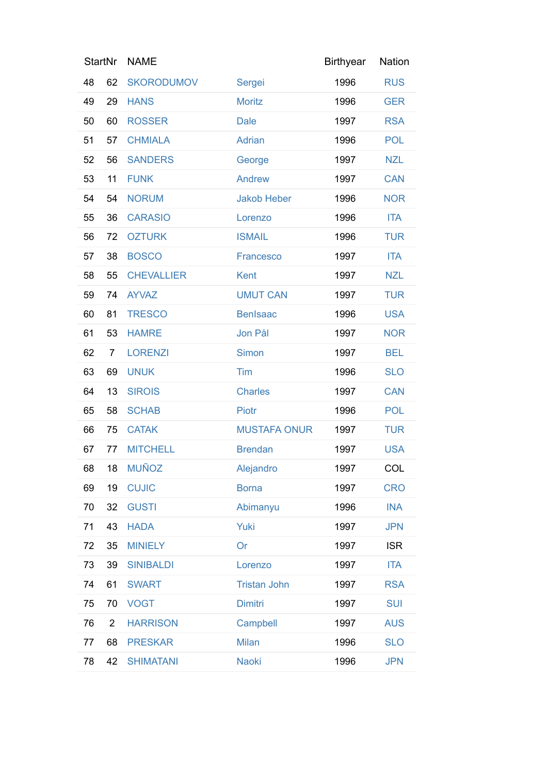| <b>StartNr</b> |                | <b>NAME</b>       |                     | <b>Birthyear</b> | Nation     |
|----------------|----------------|-------------------|---------------------|------------------|------------|
| 48             | 62             | <b>SKORODUMOV</b> | Sergei              | 1996             | <b>RUS</b> |
| 49             | 29             | <b>HANS</b>       | <b>Moritz</b>       | 1996             | <b>GER</b> |
| 50             | 60             | <b>ROSSER</b>     | <b>Dale</b>         | 1997             | <b>RSA</b> |
| 51             | 57             | <b>CHMIALA</b>    | <b>Adrian</b>       | 1996             | <b>POL</b> |
| 52             | 56             | <b>SANDERS</b>    | George              | 1997             | <b>NZL</b> |
| 53             | 11             | <b>FUNK</b>       | Andrew              | 1997             | <b>CAN</b> |
| 54             | 54             | <b>NORUM</b>      | <b>Jakob Heber</b>  | 1996             | <b>NOR</b> |
| 55             | 36             | <b>CARASIO</b>    | Lorenzo             | 1996             | <b>ITA</b> |
| 56             | 72             | <b>OZTURK</b>     | <b>ISMAIL</b>       | 1996             | <b>TUR</b> |
| 57             | 38             | <b>BOSCO</b>      | Francesco           | 1997             | <b>ITA</b> |
| 58             | 55             | <b>CHEVALLIER</b> | Kent                | 1997             | <b>NZL</b> |
| 59             | 74             | <b>AYVAZ</b>      | <b>UMUT CAN</b>     | 1997             | <b>TUR</b> |
| 60             | 81             | <b>TRESCO</b>     | <b>Benlsaac</b>     | 1996             | <b>USA</b> |
| 61             | 53             | <b>HAMRE</b>      | Jon Pål             | 1997             | <b>NOR</b> |
| 62             | $\overline{7}$ | <b>LORENZI</b>    | <b>Simon</b>        | 1997             | <b>BEL</b> |
| 63             | 69             | <b>UNUK</b>       | Tim                 | 1996             | <b>SLO</b> |
| 64             | 13             | <b>SIROIS</b>     | <b>Charles</b>      | 1997             | <b>CAN</b> |
| 65             | 58             | <b>SCHAB</b>      | Piotr               | 1996             | <b>POL</b> |
| 66             | 75             | <b>CATAK</b>      | <b>MUSTAFA ONUR</b> | 1997             | <b>TUR</b> |
| 67             | 77             | <b>MITCHELL</b>   | <b>Brendan</b>      | 1997             | <b>USA</b> |
| 68             | 18             | <b>MUÑOZ</b>      | Alejandro           | 1997             | COL        |
| 69             | 19             | <b>CUJIC</b>      | <b>Borna</b>        | 1997             | <b>CRO</b> |
| 70             | 32             | <b>GUSTI</b>      | Abimanyu            | 1996             | <b>INA</b> |
| 71             | 43             | <b>HADA</b>       | <b>Yuki</b>         | 1997             | <b>JPN</b> |
| 72             | 35             | <b>MINIELY</b>    | Or                  | 1997             | <b>ISR</b> |
| 73             | 39             | <b>SINIBALDI</b>  | Lorenzo             | 1997             | <b>ITA</b> |
| 74             | 61             | <b>SWART</b>      | <b>Tristan John</b> | 1997             | <b>RSA</b> |
| 75             | 70             | <b>VOGT</b>       | <b>Dimitri</b>      | 1997             | <b>SUI</b> |
| 76             | $\overline{2}$ | <b>HARRISON</b>   | Campbell            | 1997             | <b>AUS</b> |
| 77             | 68             | <b>PRESKAR</b>    | <b>Milan</b>        | 1996             | <b>SLO</b> |
| 78             | 42             | <b>SHIMATANI</b>  | <b>Naoki</b>        | 1996             | <b>JPN</b> |